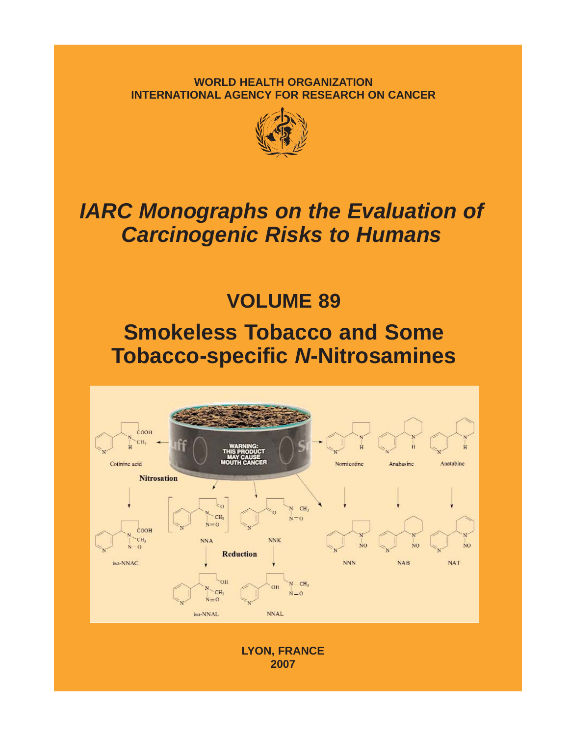**WORLD HEALTH ORGANIZATION INTERNATIONAL AGENCY FOR RESEARCH ON CANCER**



# *IARC Monographs on the Evaluation of Carcinogenic Risks to Humans*

**VOLUME 89**

## **Smokeless Tobacco and Some Tobacco-specific** *N***-Nitrosamines**



**LYON, FRANCE 2007**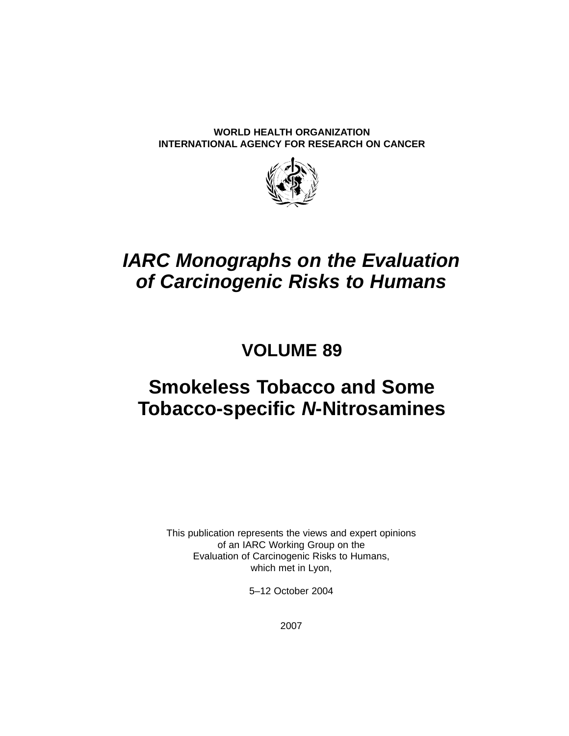**WORLD HEALTH ORGANIZATION INTERNATIONAL AGENCY FOR RESEARCH ON CANCER**



### *IARC Monographs on the Evaluation of Carcinogenic Risks to Humans*

### **VOLUME 89**

### **Smokeless Tobacco and Some Tobacco-specific** *N***-Nitrosamines**

This publication represents the views and expert opinions of an IARC Working Group on the Evaluation of Carcinogenic Risks to Humans, which met in Lyon,

5–12 October 2004

2007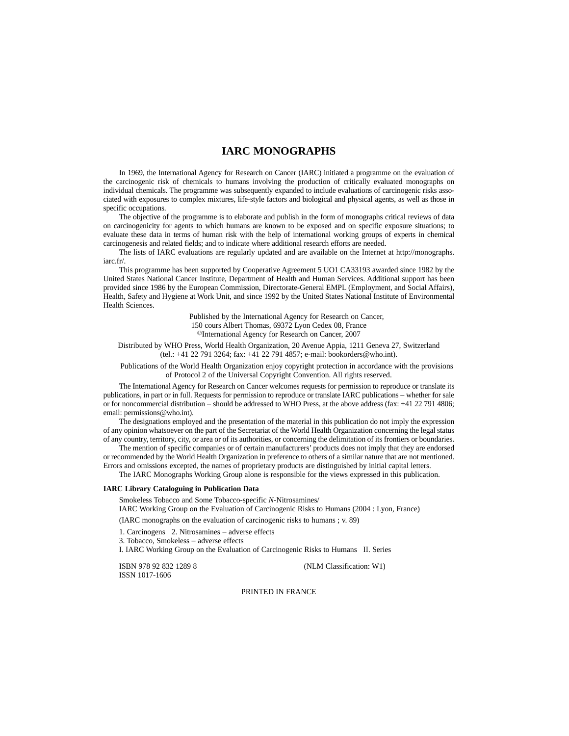#### **IARC MONOGRAPHS**

In 1969, the International Agency for Research on Cancer (IARC) initiated a programme on the evaluation of the carcinogenic risk of chemicals to humans involving the production of critically evaluated monographs on individual chemicals. The programme was subsequently expanded to include evaluations of carcinogenic risks associated with exposures to complex mixtures, life-style factors and biological and physical agents, as well as those in specific occupations.

The objective of the programme is to elaborate and publish in the form of monographs critical reviews of data on carcinogenicity for agents to which humans are known to be exposed and on specific exposure situations; to evaluate these data in terms of human risk with the help of international working groups of experts in chemical carcinogenesis and related fields; and to indicate where additional research efforts are needed.

The lists of IARC evaluations are regularly updated and are available on the Internet at http://monographs. iarc.fr/.

This programme has been supported by Cooperative Agreement 5 UO1 CA33193 awarded since 1982 by the United States National Cancer Institute, Department of Health and Human Services. Additional support has been provided since 1986 by the European Commission, Directorate-General EMPL (Employment, and Social Affairs), Health, Safety and Hygiene at Work Unit, and since 1992 by the United States National Institute of Environmental Health Sciences.

> Published by the International Agency for Research on Cancer, 150 cours Albert Thomas, 69372 Lyon Cedex 08, France ©International Agency for Research on Cancer, 2007

Distributed by WHO Press, World Health Organization, 20 Avenue Appia, 1211 Geneva 27, Switzerland (tel.: +41 22 791 3264; fax: +41 22 791 4857; e-mail: bookorders@who.int).

Publications of the World Health Organization enjoy copyright protection in accordance with the provisions of Protocol 2 of the Universal Copyright Convention. All rights reserved.

The International Agency for Research on Cancer welcomes requests for permission to reproduce or translate its publications, in part or in full. Requests for permission to reproduce or translate IARC publications − whether for sale or for noncommercial distribution − should be addressed to WHO Press, at the above address (fax: +41 22 791 4806; email: permissions@who.int).

The designations employed and the presentation of the material in this publication do not imply the expression of any opinion whatsoever on the part of the Secretariat of the World Health Organization concerning the legal status of any country, territory, city, or area or of its authorities, or concerning the delimitation of its frontiers or boundaries.

The mention of specific companies or of certain manufacturers' products does not imply that they are endorsed or recommended by the World Health Organization in preference to others of a similar nature that are not mentioned. Errors and omissions excepted, the names of proprietary products are distinguished by initial capital letters.

The IARC Monographs Working Group alone is responsible for the views expressed in this publication.

#### **IARC Library Cataloguing in Publication Data**

Smokeless Tobacco and Some Tobacco-specific *N*-Nitrosamines/

IARC Working Group on the Evaluation of Carcinogenic Risks to Humans (2004 : Lyon, France)

(IARC monographs on the evaluation of carcinogenic risks to humans ; v. 89)

1. Carcinogens 2. Nitrosamines − adverse effects

3. Tobacco, Smokeless − adverse effects

I. IARC Working Group on the Evaluation of Carcinogenic Risks to Humans II. Series

ISSN 1017-1606

ISBN 978 92 832 1289 8 (NLM Classification: W1)

#### PRINTED IN FRANCE